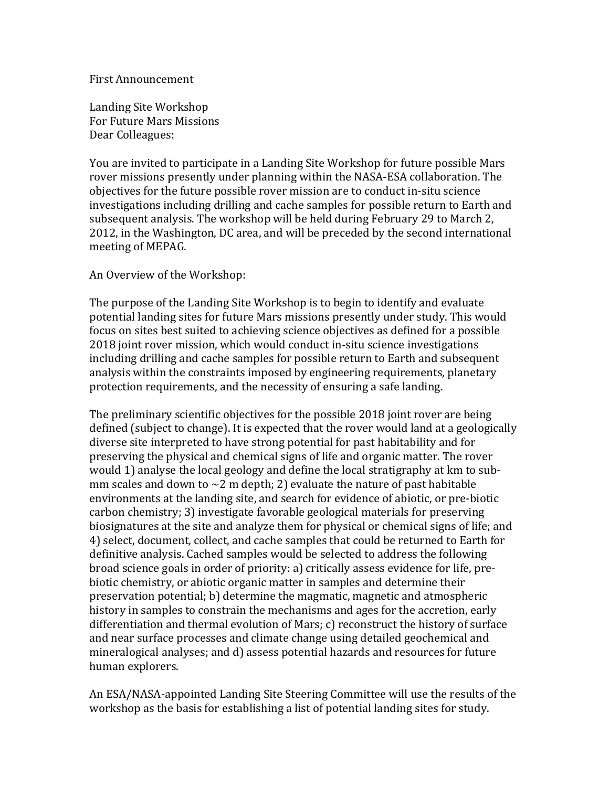## First Announcement

Landing Site Workshop For Future Mars Missions Dear Colleagues:

You are invited to participate in a Landing Site Workshop for future possible Mars rover missions presently under planning within the NASA-ESA collaboration. The objectives for the future possible rover mission are to conduct in-situ science investigations including drilling and cache samples for possible return to Earth and subsequent analysis. The workshop will be held during February 29 to March 2, 2012, in the Washington, DC area, and will be preceded by the second international meeting of MEPAG.

## An Overview of the Workshop:

The purpose of the Landing Site Workshop is to begin to identify and evaluate potential landing sites for future Mars missions presently under study. This would focus on sites best suited to achieving science objectives as defined for a possible 2018 joint rover mission, which would conduct in-situ science investigations including drilling and cache samples for possible return to Earth and subsequent analysis within the constraints imposed by engineering requirements, planetary protection requirements, and the necessity of ensuring a safe landing.

The preliminary scientific objectives for the possible 2018 joint rover are being defined (subject to change). It is expected that the rover would land at a geologically diverse site interpreted to have strong potential for past habitability and for preserving the physical and chemical signs of life and organic matter. The rover would 1) analyse the local geology and define the local stratigraphy at km to submm scales and down to  $\sim$ 2 m depth; 2) evaluate the nature of past habitable environments at the landing site, and search for evidence of abiotic, or pre-biotic carbon chemistry; 3) investigate favorable geological materials for preserving biosignatures at the site and analyze them for physical or chemical signs of life; and 4) select, document, collect, and cache samples that could be returned to Earth for definitive analysis. Cached samples would be selected to address the following broad science goals in order of priority: a) critically assess evidence for life, prebiotic chemistry, or abiotic organic matter in samples and determine their preservation potential; b) determine the magmatic, magnetic and atmospheric history in samples to constrain the mechanisms and ages for the accretion, early differentiation and thermal evolution of Mars; c) reconstruct the history of surface and near surface processes and climate change using detailed geochemical and mineralogical analyses; and d) assess potential hazards and resources for future human explorers.

An ESA/NASA-appointed Landing Site Steering Committee will use the results of the workshop as the basis for establishing a list of potential landing sites for study.